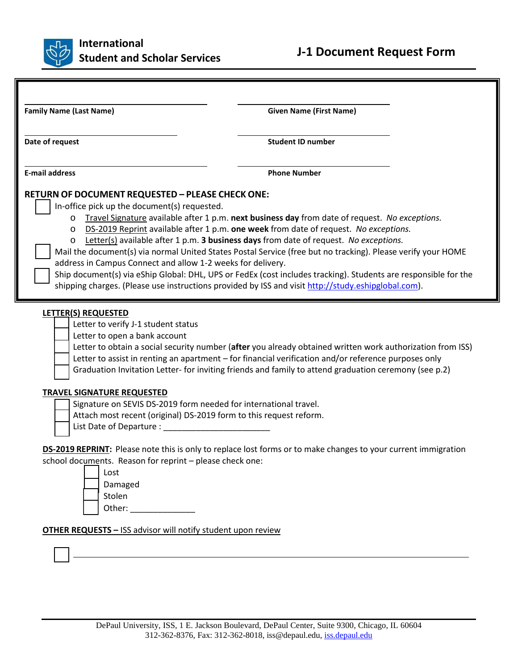

| <b>Family Name (Last Name)</b>                                                                                                                                                                                    | <b>Given Name (First Name)</b>                                                                                                                                                                                                                                                                                                                                                                                                  |
|-------------------------------------------------------------------------------------------------------------------------------------------------------------------------------------------------------------------|---------------------------------------------------------------------------------------------------------------------------------------------------------------------------------------------------------------------------------------------------------------------------------------------------------------------------------------------------------------------------------------------------------------------------------|
| Date of request                                                                                                                                                                                                   | <b>Student ID number</b>                                                                                                                                                                                                                                                                                                                                                                                                        |
| <b>E-mail address</b>                                                                                                                                                                                             | <b>Phone Number</b>                                                                                                                                                                                                                                                                                                                                                                                                             |
| <b>RETURN OF DOCUMENT REQUESTED - PLEASE CHECK ONE:</b><br>In-office pick up the document(s) requested.<br>$\circ$<br>O                                                                                           | Travel Signature available after 1 p.m. next business day from date of request. No exceptions.<br>DS-2019 Reprint available after 1 p.m. one week from date of request. No exceptions.                                                                                                                                                                                                                                          |
| O<br>address in Campus Connect and allow 1-2 weeks for delivery.                                                                                                                                                  | Letter(s) available after 1 p.m. 3 business days from date of request. No exceptions.<br>Mail the document(s) via normal United States Postal Service (free but no tracking). Please verify your HOME<br>Ship document(s) via eShip Global: DHL, UPS or FedEx (cost includes tracking). Students are responsible for the<br>shipping charges. (Please use instructions provided by ISS and visit http://study.eshipglobal.com). |
| LETTER(S) REQUESTED<br>Letter to verify J-1 student status<br>Letter to open a bank account                                                                                                                       | Letter to obtain a social security number (after you already obtained written work authorization from ISS)<br>Letter to assist in renting an apartment - for financial verification and/or reference purposes only<br>Graduation Invitation Letter- for inviting friends and family to attend graduation ceremony (see p.2)                                                                                                     |
| <b>TRAVEL SIGNATURE REQUESTED</b><br>Signature on SEVIS DS-2019 form needed for international travel.<br>Attach most recent (original) DS-2019 form to this request reform.<br>List Date of Departure : _________ |                                                                                                                                                                                                                                                                                                                                                                                                                                 |
| school documents. Reason for reprint - please check one:                                                                                                                                                          | <b>DS-2019 REPRINT:</b> Please note this is only to replace lost forms or to make changes to your current immigration                                                                                                                                                                                                                                                                                                           |